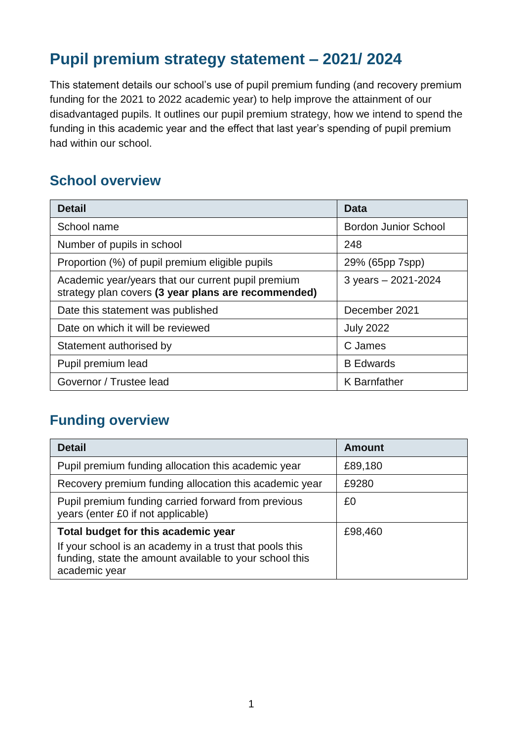## **Pupil premium strategy statement – 2021/ 2024**

This statement details our school's use of pupil premium funding (and recovery premium funding for the 2021 to 2022 academic year) to help improve the attainment of our disadvantaged pupils. It outlines our pupil premium strategy, how we intend to spend the funding in this academic year and the effect that last year's spending of pupil premium had within our school.

### **School overview**

| <b>Detail</b>                                                                                             | Data                        |
|-----------------------------------------------------------------------------------------------------------|-----------------------------|
| School name                                                                                               | <b>Bordon Junior School</b> |
| Number of pupils in school                                                                                | 248                         |
| Proportion (%) of pupil premium eligible pupils                                                           | 29% (65pp 7spp)             |
| Academic year/years that our current pupil premium<br>strategy plan covers (3 year plans are recommended) | 3 years - 2021-2024         |
| Date this statement was published                                                                         | December 2021               |
| Date on which it will be reviewed                                                                         | <b>July 2022</b>            |
| Statement authorised by                                                                                   | C James                     |
| Pupil premium lead                                                                                        | <b>B</b> Edwards            |
| Governor / Trustee lead                                                                                   | <b>K</b> Barnfather         |

### **Funding overview**

| <b>Detail</b>                                                                                                                       | <b>Amount</b> |
|-------------------------------------------------------------------------------------------------------------------------------------|---------------|
| Pupil premium funding allocation this academic year                                                                                 | £89,180       |
| Recovery premium funding allocation this academic year                                                                              | £9280         |
| Pupil premium funding carried forward from previous<br>years (enter £0 if not applicable)                                           | £0            |
| Total budget for this academic year                                                                                                 | £98,460       |
| If your school is an academy in a trust that pools this<br>funding, state the amount available to your school this<br>academic year |               |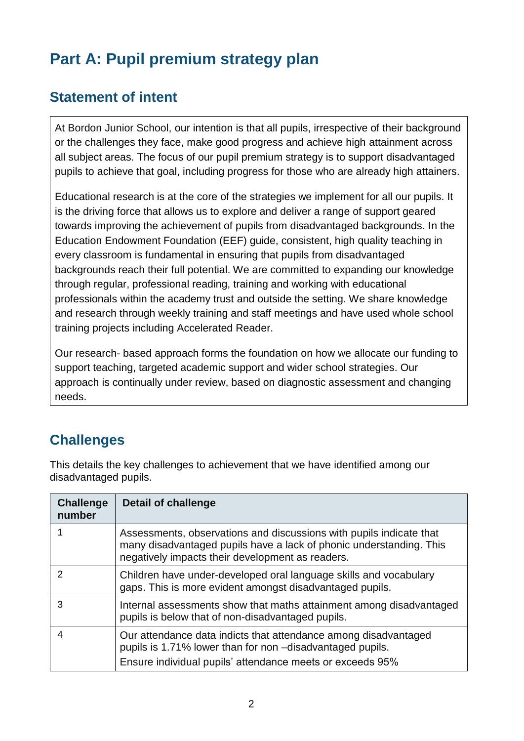# **Part A: Pupil premium strategy plan**

## **Statement of intent**

At Bordon Junior School, our intention is that all pupils, irrespective of their background or the challenges they face, make good progress and achieve high attainment across all subject areas. The focus of our pupil premium strategy is to support disadvantaged pupils to achieve that goal, including progress for those who are already high attainers.

Educational research is at the core of the strategies we implement for all our pupils. It is the driving force that allows us to explore and deliver a range of support geared towards improving the achievement of pupils from disadvantaged backgrounds. In the Education Endowment Foundation (EEF) guide, consistent, high quality teaching in every classroom is fundamental in ensuring that pupils from disadvantaged backgrounds reach their full potential. We are committed to expanding our knowledge through regular, professional reading, training and working with educational professionals within the academy trust and outside the setting. We share knowledge and research through weekly training and staff meetings and have used whole school training projects including Accelerated Reader.

Our research- based approach forms the foundation on how we allocate our funding to support teaching, targeted academic support and wider school strategies. Our approach is continually under review, based on diagnostic assessment and changing needs.

## **Challenges**

This details the key challenges to achievement that we have identified among our disadvantaged pupils.

| <b>Challenge</b><br>number | <b>Detail of challenge</b>                                                                                                                                                                     |
|----------------------------|------------------------------------------------------------------------------------------------------------------------------------------------------------------------------------------------|
|                            | Assessments, observations and discussions with pupils indicate that<br>many disadvantaged pupils have a lack of phonic understanding. This<br>negatively impacts their development as readers. |
|                            | Children have under-developed oral language skills and vocabulary<br>gaps. This is more evident amongst disadvantaged pupils.                                                                  |
| 3                          | Internal assessments show that maths attainment among disadvantaged<br>pupils is below that of non-disadvantaged pupils.                                                                       |
| 4                          | Our attendance data indicts that attendance among disadvantaged<br>pupils is 1.71% lower than for non -disadvantaged pupils.<br>Ensure individual pupils' attendance meets or exceeds 95%      |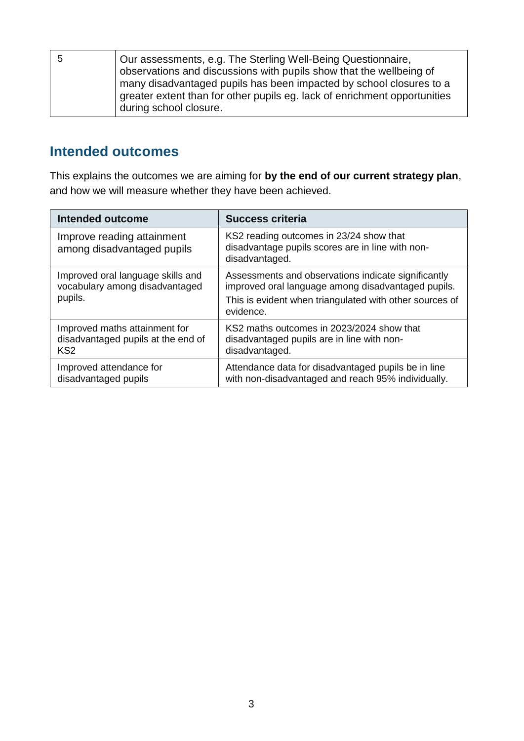| 5 | Our assessments, e.g. The Sterling Well-Being Questionnaire,<br>observations and discussions with pupils show that the wellbeing of<br>many disadvantaged pupils has been impacted by school closures to a<br>greater extent than for other pupils eg. lack of enrichment opportunities |
|---|-----------------------------------------------------------------------------------------------------------------------------------------------------------------------------------------------------------------------------------------------------------------------------------------|
|   | during school closure.                                                                                                                                                                                                                                                                  |

### **Intended outcomes**

This explains the outcomes we are aiming for **by the end of our current strategy plan**, and how we will measure whether they have been achieved.

| <b>Intended outcome</b>                                                                | <b>Success criteria</b>                                                                                                                                                           |
|----------------------------------------------------------------------------------------|-----------------------------------------------------------------------------------------------------------------------------------------------------------------------------------|
| Improve reading attainment<br>among disadvantaged pupils                               | KS2 reading outcomes in 23/24 show that<br>disadvantage pupils scores are in line with non-<br>disadvantaged.                                                                     |
| Improved oral language skills and<br>vocabulary among disadvantaged<br>pupils.         | Assessments and observations indicate significantly<br>improved oral language among disadvantaged pupils.<br>This is evident when triangulated with other sources of<br>evidence. |
| Improved maths attainment for<br>disadvantaged pupils at the end of<br>KS <sub>2</sub> | KS2 maths outcomes in 2023/2024 show that<br>disadvantaged pupils are in line with non-<br>disadvantaged.                                                                         |
| Improved attendance for<br>disadvantaged pupils                                        | Attendance data for disadvantaged pupils be in line<br>with non-disadvantaged and reach 95% individually.                                                                         |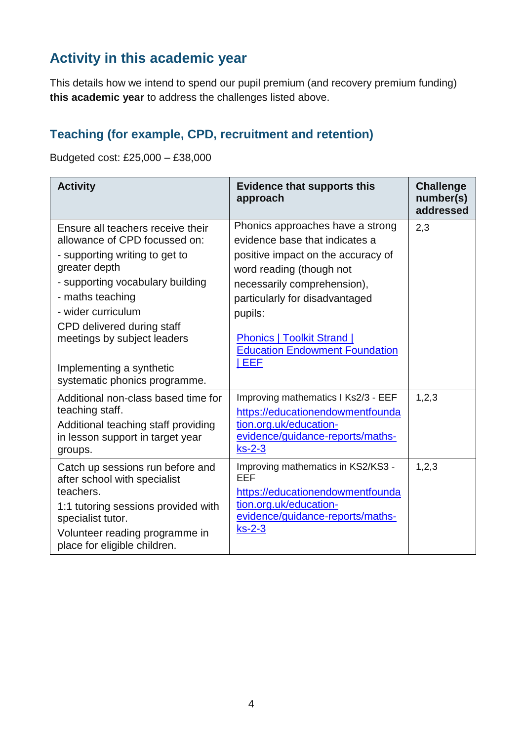## **Activity in this academic year**

This details how we intend to spend our pupil premium (and recovery premium funding) **this academic year** to address the challenges listed above.

#### **Teaching (for example, CPD, recruitment and retention)**

Budgeted cost: £25,000 – £38,000

| <b>Activity</b>                                                                                                                                                                                                                                                                                                               | <b>Evidence that supports this</b><br>approach                                                                                                                                                                                                                                                                | <b>Challenge</b><br>number(s)<br>addressed |
|-------------------------------------------------------------------------------------------------------------------------------------------------------------------------------------------------------------------------------------------------------------------------------------------------------------------------------|---------------------------------------------------------------------------------------------------------------------------------------------------------------------------------------------------------------------------------------------------------------------------------------------------------------|--------------------------------------------|
| Ensure all teachers receive their<br>allowance of CPD focussed on:<br>- supporting writing to get to<br>greater depth<br>- supporting vocabulary building<br>- maths teaching<br>- wider curriculum<br>CPD delivered during staff<br>meetings by subject leaders<br>Implementing a synthetic<br>systematic phonics programme. | Phonics approaches have a strong<br>evidence base that indicates a<br>positive impact on the accuracy of<br>word reading (though not<br>necessarily comprehension),<br>particularly for disadvantaged<br>pupils:<br><b>Phonics   Toolkit Strand  </b><br><b>Education Endowment Foundation</b><br><b>IEEF</b> | 2,3                                        |
| Additional non-class based time for<br>teaching staff.<br>Additional teaching staff providing<br>in lesson support in target year<br>groups.                                                                                                                                                                                  | Improving mathematics I Ks2/3 - EEF<br>https://educationendowmentfounda<br>tion.org.uk/education-<br>evidence/guidance-reports/maths-<br>$ks-2-3$                                                                                                                                                             | 1, 2, 3                                    |
| Catch up sessions run before and<br>after school with specialist<br>teachers.<br>1:1 tutoring sessions provided with<br>specialist tutor.<br>Volunteer reading programme in<br>place for eligible children.                                                                                                                   | Improving mathematics in KS2/KS3 -<br>EEF<br>https://educationendowmentfounda<br>tion.org.uk/education-<br>evidence/guidance-reports/maths-<br>$ks-2-3$                                                                                                                                                       | 1, 2, 3                                    |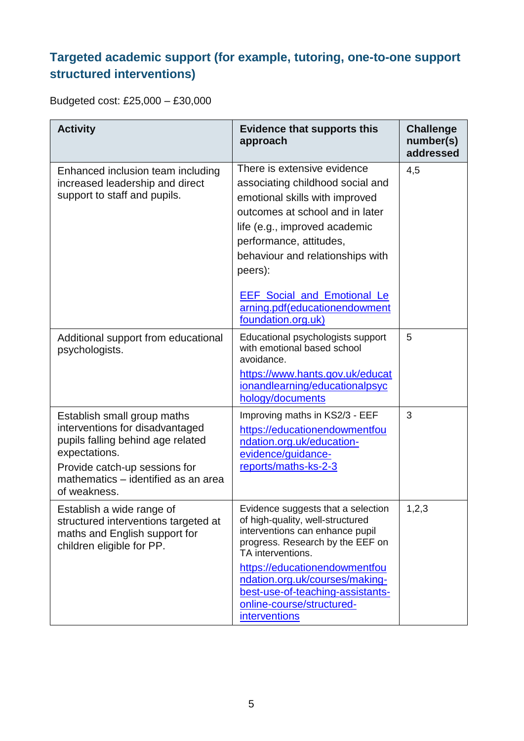## **Targeted academic support (for example, tutoring, one-to-one support structured interventions)**

Budgeted cost: £25,000 – £30,000

| <b>Activity</b>                                                                                                                                                                                              | <b>Evidence that supports this</b><br>approach                                                                                                                                                                                                                                                                                               | <b>Challenge</b><br>number(s)<br>addressed |
|--------------------------------------------------------------------------------------------------------------------------------------------------------------------------------------------------------------|----------------------------------------------------------------------------------------------------------------------------------------------------------------------------------------------------------------------------------------------------------------------------------------------------------------------------------------------|--------------------------------------------|
| Enhanced inclusion team including<br>increased leadership and direct<br>support to staff and pupils.                                                                                                         | There is extensive evidence<br>associating childhood social and<br>emotional skills with improved<br>outcomes at school and in later<br>life (e.g., improved academic<br>performance, attitudes,<br>behaviour and relationships with<br>peers):<br><b>EEF</b> Social and Emotional Le<br>arning.pdf(educationendowment<br>foundation.org.uk) | 4,5                                        |
| Additional support from educational<br>psychologists.                                                                                                                                                        | Educational psychologists support<br>with emotional based school<br>avoidance.<br>https://www.hants.gov.uk/educat<br>ionandlearning/educationalpsyc<br>hology/documents                                                                                                                                                                      | 5                                          |
| Establish small group maths<br>interventions for disadvantaged<br>pupils falling behind age related<br>expectations.<br>Provide catch-up sessions for<br>mathematics - identified as an area<br>of weakness. | Improving maths in KS2/3 - EEF<br>https://educationendowmentfou<br>ndation.org.uk/education-<br>evidence/guidance-<br>reports/maths-ks-2-3                                                                                                                                                                                                   | 3                                          |
| Establish a wide range of<br>structured interventions targeted at<br>maths and English support for<br>children eligible for PP.                                                                              | Evidence suggests that a selection<br>of high-quality, well-structured<br>interventions can enhance pupil<br>progress. Research by the EEF on<br>TA interventions.<br>https://educationendowmentfou<br>ndation.org.uk/courses/making-<br>best-use-of-teaching-assistants-<br>online-course/structured-<br>interventions                      | 1,2,3                                      |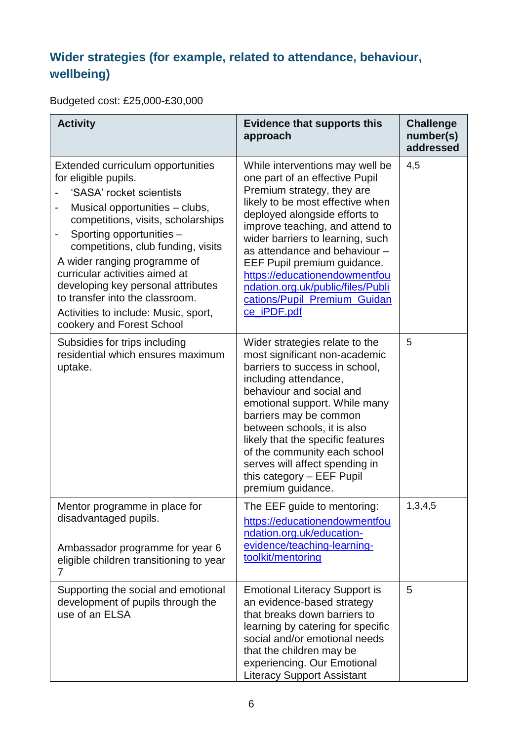## **Wider strategies (for example, related to attendance, behaviour, wellbeing)**

Budgeted cost: £25,000-£30,000

| <b>Activity</b>                                                                                                                                                                                                                                                                                                                                                                                                                                      | <b>Evidence that supports this</b><br>approach                                                                                                                                                                                                                                                                                                                                                                                   | <b>Challenge</b><br>number(s)<br>addressed |
|------------------------------------------------------------------------------------------------------------------------------------------------------------------------------------------------------------------------------------------------------------------------------------------------------------------------------------------------------------------------------------------------------------------------------------------------------|----------------------------------------------------------------------------------------------------------------------------------------------------------------------------------------------------------------------------------------------------------------------------------------------------------------------------------------------------------------------------------------------------------------------------------|--------------------------------------------|
| Extended curriculum opportunities<br>for eligible pupils.<br>'SASA' rocket scientists<br>Musical opportunities - clubs,<br>competitions, visits, scholarships<br>Sporting opportunities -<br>-<br>competitions, club funding, visits<br>A wider ranging programme of<br>curricular activities aimed at<br>developing key personal attributes<br>to transfer into the classroom.<br>Activities to include: Music, sport,<br>cookery and Forest School | While interventions may well be<br>one part of an effective Pupil<br>Premium strategy, they are<br>likely to be most effective when<br>deployed alongside efforts to<br>improve teaching, and attend to<br>wider barriers to learning, such<br>as attendance and behaviour -<br>EEF Pupil premium guidance.<br>https://educationendowmentfou<br>ndation.org.uk/public/files/Publi<br>cations/Pupil_Premium_Guidan<br>ce_iPDF.pdf | 4,5                                        |
| Subsidies for trips including<br>residential which ensures maximum<br>uptake.                                                                                                                                                                                                                                                                                                                                                                        | Wider strategies relate to the<br>most significant non-academic<br>barriers to success in school,<br>including attendance,<br>behaviour and social and<br>emotional support. While many<br>barriers may be common<br>between schools, it is also<br>likely that the specific features<br>of the community each school<br>serves will affect spending in<br>this category - EEF Pupil<br>premium guidance.                        | 5                                          |
| Mentor programme in place for<br>disadvantaged pupils.<br>Ambassador programme for year 6<br>eligible children transitioning to year<br>7                                                                                                                                                                                                                                                                                                            | The EEF guide to mentoring:<br>https://educationendowmentfou<br>ndation.org.uk/education-<br>evidence/teaching-learning-<br>toolkit/mentoring                                                                                                                                                                                                                                                                                    | 1,3,4,5                                    |
| Supporting the social and emotional<br>development of pupils through the<br>use of an ELSA                                                                                                                                                                                                                                                                                                                                                           | <b>Emotional Literacy Support is</b><br>an evidence-based strategy<br>that breaks down barriers to<br>learning by catering for specific<br>social and/or emotional needs<br>that the children may be<br>experiencing. Our Emotional<br><b>Literacy Support Assistant</b>                                                                                                                                                         | 5                                          |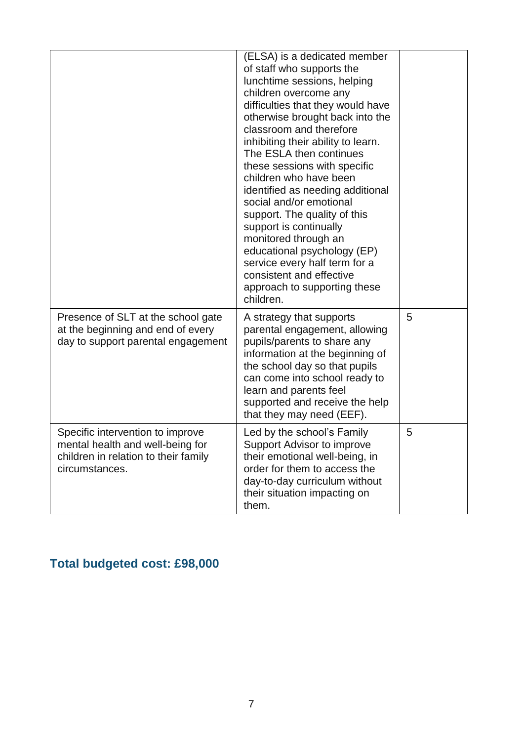|                                                                                                                                | (ELSA) is a dedicated member<br>of staff who supports the<br>lunchtime sessions, helping<br>children overcome any<br>difficulties that they would have<br>otherwise brought back into the<br>classroom and therefore<br>inhibiting their ability to learn.<br>The ESLA then continues<br>these sessions with specific<br>children who have been<br>identified as needing additional<br>social and/or emotional<br>support. The quality of this<br>support is continually<br>monitored through an<br>educational psychology (EP)<br>service every half term for a<br>consistent and effective<br>approach to supporting these<br>children. |   |
|--------------------------------------------------------------------------------------------------------------------------------|-------------------------------------------------------------------------------------------------------------------------------------------------------------------------------------------------------------------------------------------------------------------------------------------------------------------------------------------------------------------------------------------------------------------------------------------------------------------------------------------------------------------------------------------------------------------------------------------------------------------------------------------|---|
| Presence of SLT at the school gate<br>at the beginning and end of every<br>day to support parental engagement                  | A strategy that supports<br>parental engagement, allowing<br>pupils/parents to share any<br>information at the beginning of<br>the school day so that pupils<br>can come into school ready to<br>learn and parents feel<br>supported and receive the help<br>that they may need (EEF).                                                                                                                                                                                                                                                                                                                                                    | 5 |
| Specific intervention to improve<br>mental health and well-being for<br>children in relation to their family<br>circumstances. | Led by the school's Family<br>Support Advisor to improve<br>their emotional well-being, in<br>order for them to access the<br>day-to-day curriculum without<br>their situation impacting on<br>them.                                                                                                                                                                                                                                                                                                                                                                                                                                      | 5 |

# **Total budgeted cost: £98,000**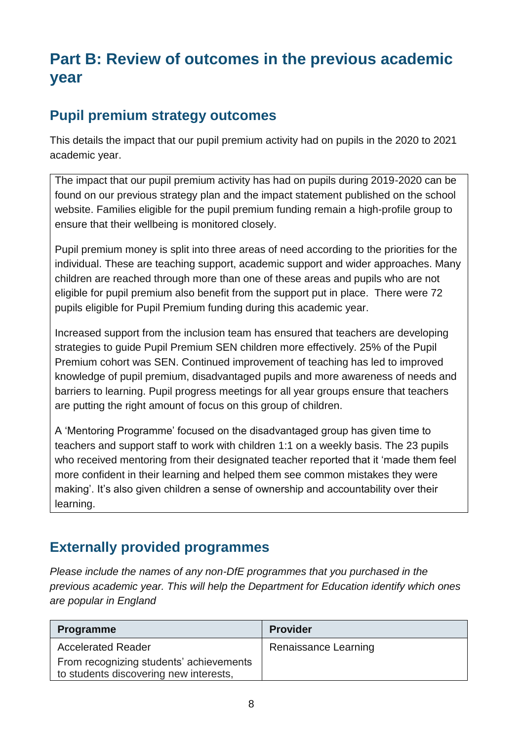## **Part B: Review of outcomes in the previous academic year**

## **Pupil premium strategy outcomes**

This details the impact that our pupil premium activity had on pupils in the 2020 to 2021 academic year.

The impact that our pupil premium activity has had on pupils during 2019-2020 can be found on our previous strategy plan and the impact statement published on the school website. Families eligible for the pupil premium funding remain a high-profile group to ensure that their wellbeing is monitored closely.

Pupil premium money is split into three areas of need according to the priorities for the individual. These are teaching support, academic support and wider approaches. Many children are reached through more than one of these areas and pupils who are not eligible for pupil premium also benefit from the support put in place. There were 72 pupils eligible for Pupil Premium funding during this academic year.

Increased support from the inclusion team has ensured that teachers are developing strategies to guide Pupil Premium SEN children more effectively. 25% of the Pupil Premium cohort was SEN. Continued improvement of teaching has led to improved knowledge of pupil premium, disadvantaged pupils and more awareness of needs and barriers to learning. Pupil progress meetings for all year groups ensure that teachers are putting the right amount of focus on this group of children.

A 'Mentoring Programme' focused on the disadvantaged group has given time to teachers and support staff to work with children 1:1 on a weekly basis. The 23 pupils who received mentoring from their designated teacher reported that it 'made them feel more confident in their learning and helped them see common mistakes they were making'. It's also given children a sense of ownership and accountability over their learning.

## **Externally provided programmes**

*Please include the names of any non-DfE programmes that you purchased in the previous academic year. This will help the Department for Education identify which ones are popular in England*

| <b>Programme</b>                        | <b>Provider</b>      |
|-----------------------------------------|----------------------|
| <b>Accelerated Reader</b>               | Renaissance Learning |
| From recognizing students' achievements |                      |
| to students discovering new interests,  |                      |